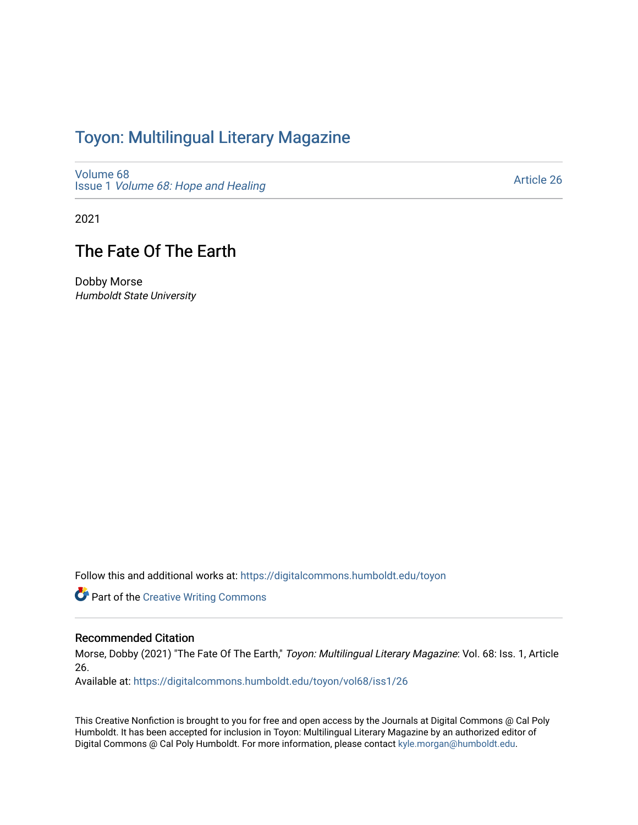## Toyon: Multilingual Literar[y](https://digitalcommons.humboldt.edu/toyon) Magazine

[Volume 68](https://digitalcommons.humboldt.edu/toyon/vol68) Issue 1 [Volume 68: Hope and Healing](https://digitalcommons.humboldt.edu/toyon/vol68/iss1) 

[Article 26](https://digitalcommons.humboldt.edu/toyon/vol68/iss1/26) 

2021

## The Fate Of The Earth

Dobby Morse Humboldt State University

Follow this and additional works at: [https://digitalcommons.humboldt.edu/toyon](https://digitalcommons.humboldt.edu/toyon?utm_source=digitalcommons.humboldt.edu%2Ftoyon%2Fvol68%2Fiss1%2F26&utm_medium=PDF&utm_campaign=PDFCoverPages)

**Part of the Creative Writing Commons** 

## Recommended Citation

Morse, Dobby (2021) "The Fate Of The Earth," Toyon: Multilingual Literary Magazine: Vol. 68: Iss. 1, Article 26.

Available at: [https://digitalcommons.humboldt.edu/toyon/vol68/iss1/26](https://digitalcommons.humboldt.edu/toyon/vol68/iss1/26?utm_source=digitalcommons.humboldt.edu%2Ftoyon%2Fvol68%2Fiss1%2F26&utm_medium=PDF&utm_campaign=PDFCoverPages) 

This Creative Nonfiction is brought to you for free and open access by the Journals at Digital Commons @ Cal Poly Humboldt. It has been accepted for inclusion in Toyon: Multilingual Literary Magazine by an authorized editor of Digital Commons @ Cal Poly Humboldt. For more information, please contact [kyle.morgan@humboldt.edu.](mailto:kyle.morgan@humboldt.edu)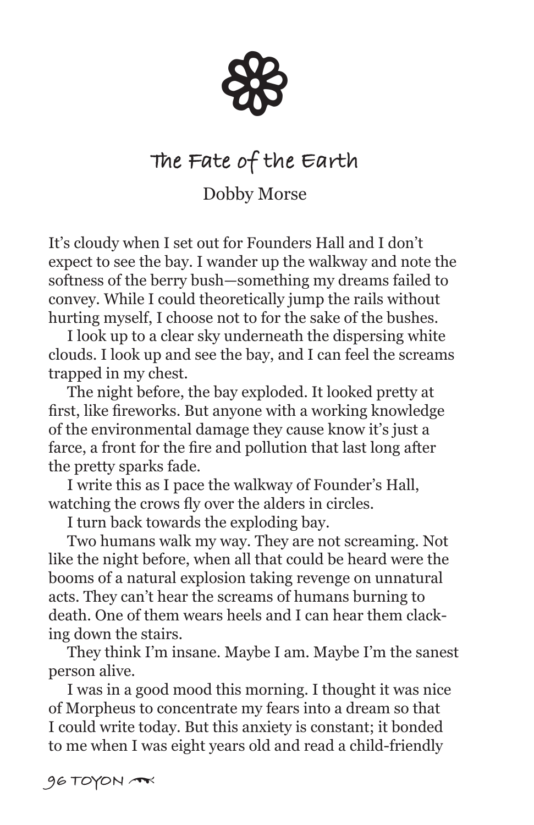88

## **The Fate of the Earth**

Dobby Morse

It's cloudy when I set out for Founders Hall and I don't expect to see the bay. I wander up the walkway and note the softness of the berry bush—something my dreams failed to convey. While I could theoretically jump the rails without hurting myself, I choose not to for the sake of the bushes.

 I look up to a clear sky underneath the dispersing white clouds. I look up and see the bay, and I can feel the screams trapped in my chest.

 The night before, the bay exploded. It looked pretty at first, like fireworks. But anyone with a working knowledge of the environmental damage they cause know it's just a farce, a front for the fire and pollution that last long after the pretty sparks fade.

 I write this as I pace the walkway of Founder's Hall, watching the crows fly over the alders in circles.

I turn back towards the exploding bay.

 Two humans walk my way. They are not screaming. Not like the night before, when all that could be heard were the booms of a natural explosion taking revenge on unnatural acts. They can't hear the screams of humans burning to death. One of them wears heels and I can hear them clacking down the stairs.

 They think I'm insane. Maybe I am. Maybe I'm the sanest person alive.

 I was in a good mood this morning. I thought it was nice of Morpheus to concentrate my fears into a dream so that I could write today. But this anxiety is constant; it bonded to me when I was eight years old and read a child-friendly